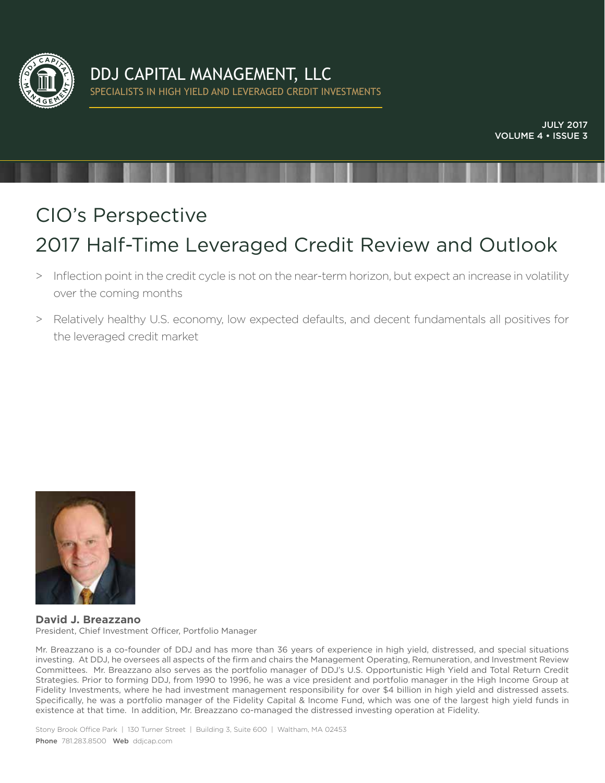

# CIO's Perspective 2017 Half-Time Leveraged Credit Review and Outlook

- > Inflection point in the credit cycle is not on the near-term horizon, but expect an increase in volatility over the coming months
- > Relatively healthy U.S. economy, low expected defaults, and decent fundamentals all positives for the leveraged credit market



**David J. Breazzano**  President, Chief Investment Officer, Portfolio Manager

Mr. Breazzano is a co-founder of DDJ and has more than 36 years of experience in high yield, distressed, and special situations investing. At DDJ, he oversees all aspects of the firm and chairs the Management Operating, Remuneration, and Investment Review Committees. Mr. Breazzano also serves as the portfolio manager of DDJ's U.S. Opportunistic High Yield and Total Return Credit Strategies. Prior to forming DDJ, from 1990 to 1996, he was a vice president and portfolio manager in the High Income Group at Fidelity Investments, where he had investment management responsibility for over \$4 billion in high yield and distressed assets. Specifically, he was a portfolio manager of the Fidelity Capital & Income Fund, which was one of the largest high yield funds in existence at that time. In addition, Mr. Breazzano co-managed the distressed investing operation at Fidelity.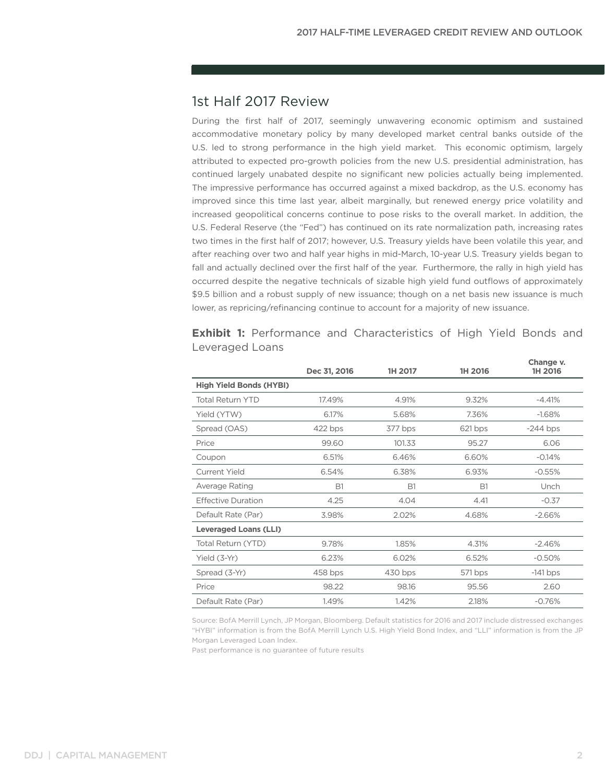## 1st Half 2017 Review

During the first half of 2017, seemingly unwavering economic optimism and sustained accommodative monetary policy by many developed market central banks outside of the U.S. led to strong performance in the high yield market. This economic optimism, largely attributed to expected pro-growth policies from the new U.S. presidential administration, has continued largely unabated despite no significant new policies actually being implemented. The impressive performance has occurred against a mixed backdrop, as the U.S. economy has improved since this time last year, albeit marginally, but renewed energy price volatility and increased geopolitical concerns continue to pose risks to the overall market. In addition, the U.S. Federal Reserve (the "Fed") has continued on its rate normalization path, increasing rates two times in the first half of 2017; however, U.S. Treasury yields have been volatile this year, and after reaching over two and half year highs in mid-March, 10-year U.S. Treasury yields began to fall and actually declined over the first half of the year. Furthermore, the rally in high yield has occurred despite the negative technicals of sizable high yield fund outflows of approximately \$9.5 billion and a robust supply of new issuance; though on a net basis new issuance is much lower, as repricing/refinancing continue to account for a majority of new issuance.

|                                | Dec 31, 2016 | 1H 2017   | 1H 2016   | 1H 2016    |
|--------------------------------|--------------|-----------|-----------|------------|
| <b>High Yield Bonds (HYBI)</b> |              |           |           |            |
| <b>Total Return YTD</b>        | 17.49%       | 4.91%     | 9.32%     | $-4.41%$   |
| Yield (YTW)                    | 6.17%        | 5.68%     | 7.36%     | $-1.68%$   |
| Spread (OAS)                   | 422 bps      | 377 bps   | 621 bps   | $-244$ bps |
| Price                          | 99.60        | 101.33    | 95.27     | 6.06       |
| Coupon                         | 6.51%        | 6.46%     | 6.60%     | $-0.14%$   |
| <b>Current Yield</b>           | 6.54%        | 6.38%     | 6.93%     | $-0.55%$   |
| Average Rating                 | <b>B1</b>    | <b>B1</b> | <b>B1</b> | Unch       |
| <b>Effective Duration</b>      | 4.25         | 4.04      | 4.41      | $-0.37$    |
| Default Rate (Par)             | 3.98%        | 2.02%     | 4.68%     | $-2.66%$   |
| <b>Leveraged Loans (LLI)</b>   |              |           |           |            |
| Total Return (YTD)             | 9.78%        | 1.85%     | 4.31%     | $-2.46%$   |
| Yield (3-Yr)                   | 6.23%        | 6.02%     | 6.52%     | $-0.50%$   |
| Spread (3-Yr)                  | 458 bps      | 430 bps   | 571 bps   | $-141$ bps |
| Price                          | 98.22        | 98.16     | 95.56     | 2.60       |
| Default Rate (Par)             | 1.49%        | 1.42%     | 2.18%     | $-0.76%$   |

**Exhibit 1:** Performance and Characteristics of High Yield Bonds and Leveraged Loans

Source: BofA Merrill Lynch, JP Morgan, Bloomberg. Default statistics for 2016 and 2017 include distressed exchanges "HYBI" information is from the BofA Merrill Lynch U.S. High Yield Bond Index, and "LLI" information is from the JP Morgan Leveraged Loan Index.

Past performance is no guarantee of future results

Change v.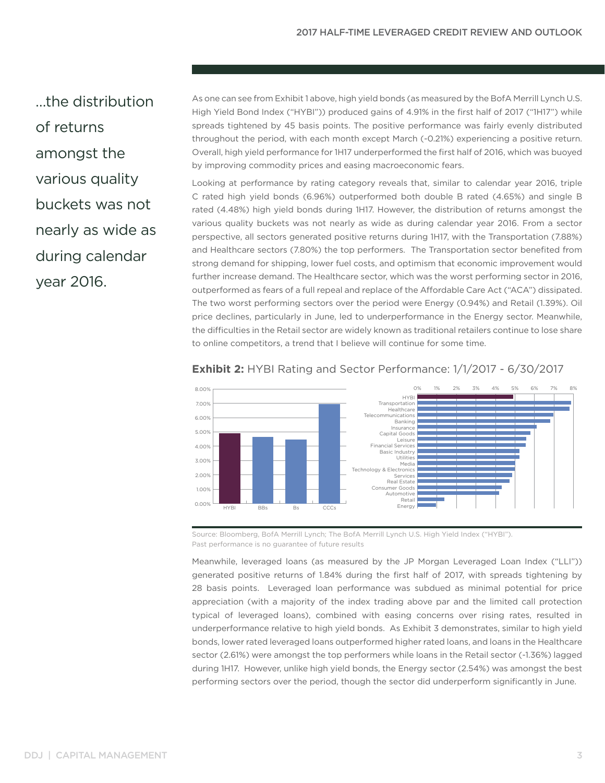…the distribution of returns amongst the various quality buckets was not nearly as wide as during calendar year 2016.

As one can see from Exhibit 1 above, high yield bonds (as measured by the BofA Merrill Lynch U.S. High Yield Bond Index ("HYBI")) produced gains of 4.91% in the first half of 2017 ("1H17") while spreads tightened by 45 basis points. The positive performance was fairly evenly distributed throughout the period, with each month except March (-0.21%) experiencing a positive return. Overall, high yield performance for 1H17 underperformed the first half of 2016, which was buoyed by improving commodity prices and easing macroeconomic fears.

Looking at performance by rating category reveals that, similar to calendar year 2016, triple C rated high yield bonds (6.96%) outperformed both double B rated (4.65%) and single B rated (4.48%) high yield bonds during 1H17. However, the distribution of returns amongst the various quality buckets was not nearly as wide as during calendar year 2016. From a sector perspective, all sectors generated positive returns during 1H17, with the Transportation (7.88%) and Healthcare sectors (7.80%) the top performers. The Transportation sector benefited from strong demand for shipping, lower fuel costs, and optimism that economic improvement would further increase demand. The Healthcare sector, which was the worst performing sector in 2016, outperformed as fears of a full repeal and replace of the Affordable Care Act ("ACA") dissipated. The two worst performing sectors over the period were Energy (0.94%) and Retail (1.39%). Oil price declines, particularly in June, led to underperformance in the Energy sector. Meanwhile, the difficulties in the Retail sector are widely known as traditional retailers continue to lose share to online competitors, a trend that I believe will continue for some time.



## **Exhibit 2:** HYBI Rating and Sector Performance: 1/1/2017 - 6/30/2017

Source: Bloomberg, BofA Merrill Lynch; The BofA Merrill Lynch U.S. High Yield Index ("HYBI"). Past performance is no guarantee of future results

Meanwhile, leveraged loans (as measured by the JP Morgan Leveraged Loan Index ("LLI")) generated positive returns of 1.84% during the first half of 2017, with spreads tightening by 28 basis points. Leveraged loan performance was subdued as minimal potential for price appreciation (with a majority of the index trading above par and the limited call protection typical of leveraged loans), combined with easing concerns over rising rates, resulted in underperformance relative to high yield bonds. As Exhibit 3 demonstrates, similar to high yield bonds, lower rated leveraged loans outperformed higher rated loans, and loans in the Healthcare sector (2.61%) were amongst the top performers while loans in the Retail sector (-1.36%) lagged during 1H17. However, unlike high yield bonds, the Energy sector (2.54%) was amongst the best performing sectors over the period, though the sector did underperform significantly in June.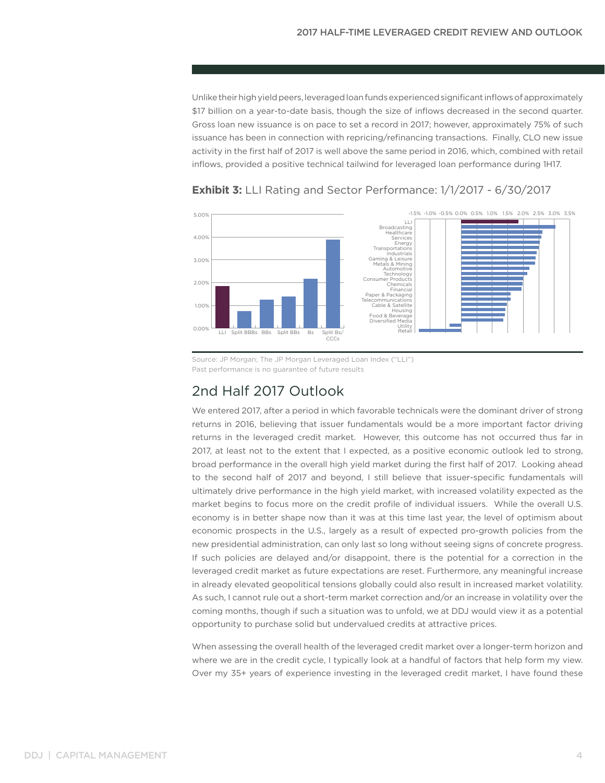Unlike their high yield peers, leveraged loan funds experienced significant inflows of approximately \$17 billion on a year-to-date basis, though the size of inflows decreased in the second quarter. Gross loan new issuance is on pace to set a record in 2017; however, approximately 75% of such issuance has been in connection with repricing/refinancing transactions. Finally, CLO new issue activity in the first half of 2017 is well above the same period in 2016, which, combined with retail inflows, provided a positive technical tailwind for leveraged loan performance during 1H17.



## **Exhibit 3:** LLI Rating and Sector Performance: 1/1/2017 - 6/30/2017

Source: JP Morgan; The JP Morgan Leveraged Loan Index ("LLI") Past performance is no guarantee of future results

## 2nd Half 2017 Outlook

We entered 2017, after a period in which favorable technicals were the dominant driver of strong returns in 2016, believing that issuer fundamentals would be a more important factor driving returns in the leveraged credit market. However, this outcome has not occurred thus far in 2017, at least not to the extent that I expected, as a positive economic outlook led to strong, broad performance in the overall high yield market during the first half of 2017. Looking ahead to the second half of 2017 and beyond, I still believe that issuer-specific fundamentals will ultimately drive performance in the high yield market, with increased volatility expected as the market begins to focus more on the credit profile of individual issuers. While the overall U.S. economy is in better shape now than it was at this time last year, the level of optimism about economic prospects in the U.S., largely as a result of expected pro-growth policies from the new presidential administration, can only last so long without seeing signs of concrete progress. If such policies are delayed and/or disappoint, there is the potential for a correction in the leveraged credit market as future expectations are reset. Furthermore, any meaningful increase in already elevated geopolitical tensions globally could also result in increased market volatility. As such, I cannot rule out a short-term market correction and/or an increase in volatility over the coming months, though if such a situation was to unfold, we at DDJ would view it as a potential opportunity to purchase solid but undervalued credits at attractive prices.

When assessing the overall health of the leveraged credit market over a longer-term horizon and where we are in the credit cycle, I typically look at a handful of factors that help form my view. Over my 35+ years of experience investing in the leveraged credit market, I have found these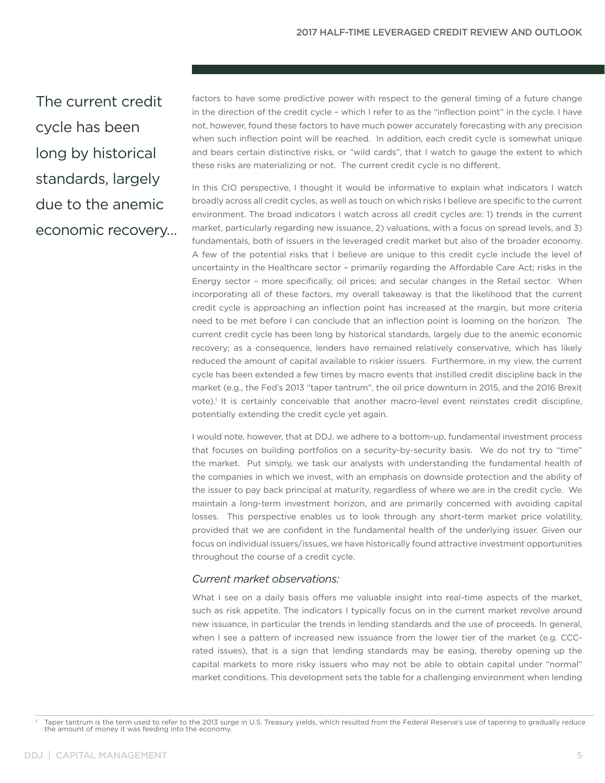The current credit cycle has been long by historical standards, largely due to the anemic economic recovery… factors to have some predictive power with respect to the general timing of a future change in the direction of the credit cycle – which I refer to as the "inflection point" in the cycle. I have not, however, found these factors to have much power accurately forecasting with any precision when such inflection point will be reached. In addition, each credit cycle is somewhat unique and bears certain distinctive risks, or "wild cards", that I watch to gauge the extent to which these risks are materializing or not. The current credit cycle is no different.

In this CIO perspective, I thought it would be informative to explain what indicators I watch broadly across all credit cycles, as well as touch on which risks I believe are specific to the current environment. The broad indicators I watch across all credit cycles are: 1) trends in the current market, particularly regarding new issuance, 2) valuations, with a focus on spread levels, and 3) fundamentals, both of issuers in the leveraged credit market but also of the broader economy. A few of the potential risks that I believe are unique to this credit cycle include the level of uncertainty in the Healthcare sector – primarily regarding the Affordable Care Act; risks in the Energy sector – more specifically, oil prices; and secular changes in the Retail sector. When incorporating all of these factors, my overall takeaway is that the likelihood that the current credit cycle is approaching an inflection point has increased at the margin, but more criteria need to be met before I can conclude that an inflection point is looming on the horizon. The current credit cycle has been long by historical standards, largely due to the anemic economic recovery; as a consequence, lenders have remained relatively conservative, which has likely reduced the amount of capital available to riskier issuers. Furthermore, in my view, the current cycle has been extended a few times by macro events that instilled credit discipline back in the market (e.g., the Fed's 2013 "taper tantrum", the oil price downturn in 2015, and the 2016 Brexit vote).<sup>1</sup> It is certainly conceivable that another macro-level event reinstates credit discipline, potentially extending the credit cycle yet again.

I would note, however, that at DDJ, we adhere to a bottom-up, fundamental investment process that focuses on building portfolios on a security-by-security basis. We do not try to "time" the market. Put simply, we task our analysts with understanding the fundamental health of the companies in which we invest, with an emphasis on downside protection and the ability of the issuer to pay back principal at maturity, regardless of where we are in the credit cycle. We maintain a long-term investment horizon, and are primarily concerned with avoiding capital losses. This perspective enables us to look through any short-term market price volatility, provided that we are confident in the fundamental health of the underlying issuer. Given our focus on individual issuers/issues, we have historically found attractive investment opportunities throughout the course of a credit cycle.

### *Current market observations:*

What I see on a daily basis offers me valuable insight into real-time aspects of the market, such as risk appetite. The indicators I typically focus on in the current market revolve around new issuance, in particular the trends in lending standards and the use of proceeds. In general, when I see a pattern of increased new issuance from the lower tier of the market (e.g. CCCrated issues), that is a sign that lending standards may be easing, thereby opening up the capital markets to more risky issuers who may not be able to obtain capital under "normal" market conditions. This development sets the table for a challenging environment when lending

Taper tantrum is the term used to refer to the 2013 surge in U.S. Treasury yields, which resulted from the Federal Reserve's use of tapering to gradually reduce the amount of money it was feeding into the economy.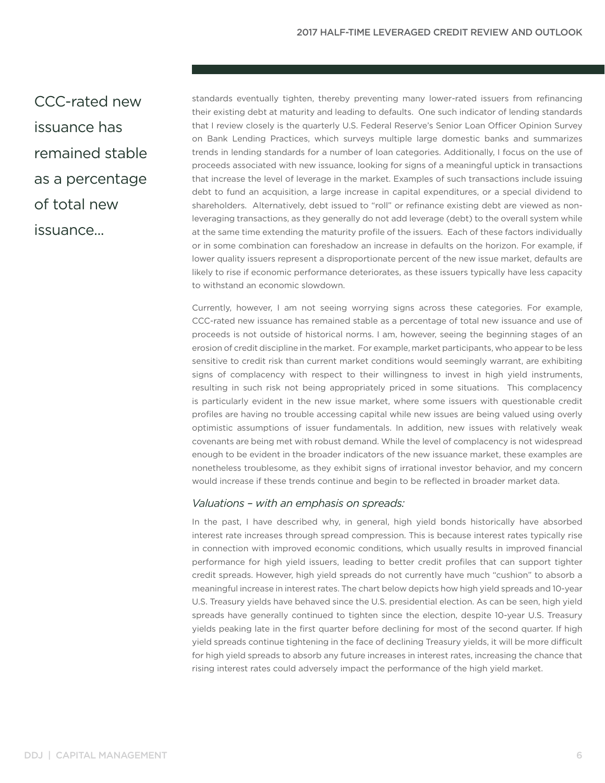CCC-rated new issuance has remained stable as a percentage of total new issuance...

standards eventually tighten, thereby preventing many lower-rated issuers from refinancing their existing debt at maturity and leading to defaults. One such indicator of lending standards that I review closely is the quarterly U.S. Federal Reserve's Senior Loan Officer Opinion Survey on Bank Lending Practices, which surveys multiple large domestic banks and summarizes trends in lending standards for a number of loan categories. Additionally, I focus on the use of proceeds associated with new issuance, looking for signs of a meaningful uptick in transactions that increase the level of leverage in the market. Examples of such transactions include issuing debt to fund an acquisition, a large increase in capital expenditures, or a special dividend to shareholders. Alternatively, debt issued to "roll" or refinance existing debt are viewed as nonleveraging transactions, as they generally do not add leverage (debt) to the overall system while at the same time extending the maturity profile of the issuers. Each of these factors individually or in some combination can foreshadow an increase in defaults on the horizon. For example, if lower quality issuers represent a disproportionate percent of the new issue market, defaults are likely to rise if economic performance deteriorates, as these issuers typically have less capacity to withstand an economic slowdown.

Currently, however, I am not seeing worrying signs across these categories. For example, CCC-rated new issuance has remained stable as a percentage of total new issuance and use of proceeds is not outside of historical norms. I am, however, seeing the beginning stages of an erosion of credit discipline in the market. For example, market participants, who appear to be less sensitive to credit risk than current market conditions would seemingly warrant, are exhibiting signs of complacency with respect to their willingness to invest in high yield instruments, resulting in such risk not being appropriately priced in some situations. This complacency is particularly evident in the new issue market, where some issuers with questionable credit profiles are having no trouble accessing capital while new issues are being valued using overly optimistic assumptions of issuer fundamentals. In addition, new issues with relatively weak covenants are being met with robust demand. While the level of complacency is not widespread enough to be evident in the broader indicators of the new issuance market, these examples are nonetheless troublesome, as they exhibit signs of irrational investor behavior, and my concern would increase if these trends continue and begin to be reflected in broader market data.

### *Valuations – with an emphasis on spreads:*

In the past, I have described why, in general, high yield bonds historically have absorbed interest rate increases through spread compression. This is because interest rates typically rise in connection with improved economic conditions, which usually results in improved financial performance for high yield issuers, leading to better credit profiles that can support tighter credit spreads. However, high yield spreads do not currently have much "cushion" to absorb a meaningful increase in interest rates. The chart below depicts how high yield spreads and 10-year U.S. Treasury yields have behaved since the U.S. presidential election. As can be seen, high yield spreads have generally continued to tighten since the election, despite 10-year U.S. Treasury yields peaking late in the first quarter before declining for most of the second quarter. If high yield spreads continue tightening in the face of declining Treasury yields, it will be more difficult for high yield spreads to absorb any future increases in interest rates, increasing the chance that rising interest rates could adversely impact the performance of the high yield market.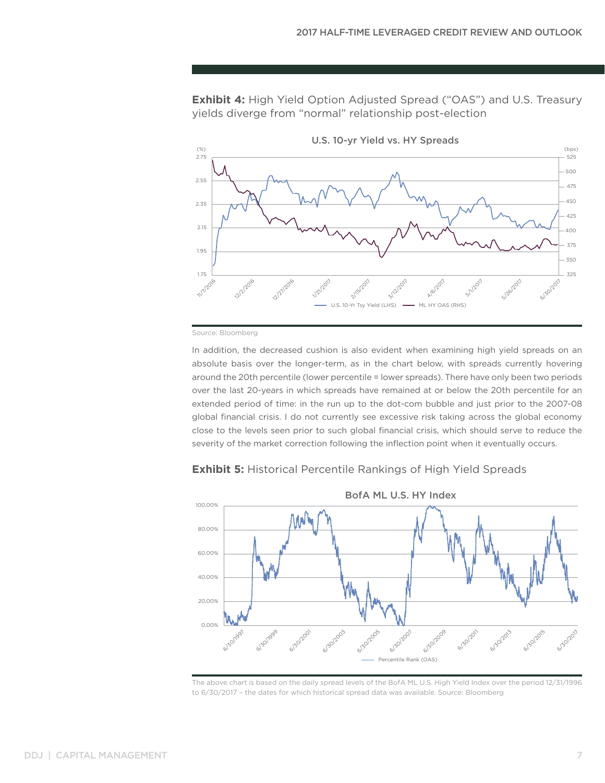**Exhibit 4:** High Yield Option Adjusted Spread ("OAS") and U.S. Treasury yields diverge from "normal" relationship post-election



Source: Bloomberg

In addition, the decreased cushion is also evident when examining high yield spreads on an absolute basis over the longer-term, as in the chart below, with spreads currently hovering around the 20th percentile (lower percentile = lower spreads). There have only been two periods over the last 20-years in which spreads have remained at or below the 20th percentile for an extended period of time: in the run up to the dot-com bubble and just prior to the 2007-08 global financial crisis. I do not currently see excessive risk taking across the global economy close to the levels seen prior to such global financial crisis, which should serve to reduce the severity of the market correction following the inflection point when it eventually occurs.



**Exhibit 5:** Historical Percentile Rankings of High Yield Spreads

The above chart is based on the daily spread levels of the BofA ML U.S. High Yield Index over the period 12/31/1996 to 6/30/2017 – the dates for which historical spread data was available. Source: Bloomberg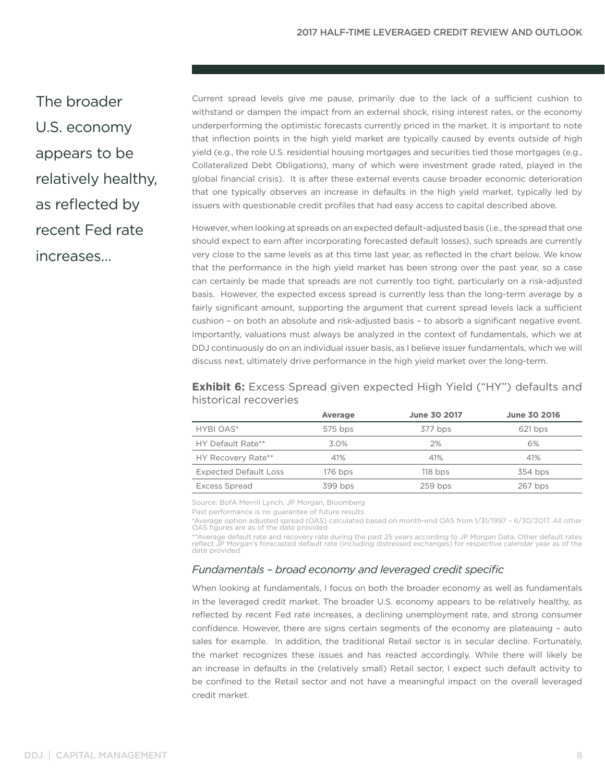The broader U.S. economy appears to be relatively healthy, as reflected by recent Fed rate increases…

Current spread levels give me pause, primarily due to the lack of a sufficient cushion to withstand or dampen the impact from an external shock, rising interest rates, or the economy underperforming the optimistic forecasts currently priced in the market. It is important to note that inflection points in the high yield market are typically caused by events outside of high yield (e.g., the role U.S. residential housing mortgages and securities tied those mortgages (e.g., Collateralized Debt Obligations), many of which were investment grade rated, played in the global financial crisis). It is after these external events cause broader economic deterioration that one typically observes an increase in defaults in the high yield market, typically led by issuers with questionable credit profiles that had easy access to capital described above.

However, when looking at spreads on an expected default-adjusted basis (i.e., the spread that one should expect to earn after incorporating forecasted default losses), such spreads are currently very close to the same levels as at this time last year, as reflected in the chart below. We know that the performance in the high yield market has been strong over the past year, so a case can certainly be made that spreads are not currently too tight, particularly on a risk-adjusted basis. However, the expected excess spread is currently less than the long-term average by a fairly significant amount, supporting the argument that current spread levels lack a sufficient cushion – on both an absolute and risk-adjusted basis – to absorb a significant negative event. Importantly, valuations must always be analyzed in the context of fundamentals, which we at DDJ continuously do on an individual issuer basis, as I believe issuer fundamentals, which we will discuss next, ultimately drive performance in the high yield market over the long-term.

**Exhibit 6:** Excess Spread given expected High Yield ("HY") defaults and historical recoveries

|                              | Average   | <b>June 30 2017</b> | June 30 2016 |
|------------------------------|-----------|---------------------|--------------|
| HYBI OAS*                    | 575 bps   | 377 bps             | 621 bps      |
| HY Default Rate**            | 3.0%      | 2%                  | 6%           |
| HY Recovery Rate**           | 41%       | 41%                 | 41%          |
| <b>Expected Default Loss</b> | $176$ bps | $118$ bps           | 354 bps      |
| <b>Excess Spread</b>         | 399 bps   | $259$ bps           | 267 bps      |

Source: BofA Merrill Lynch, JP Morgan, Bloomberg

Past performance is no guarantee of future results

\*Average option adjusted spread (OAS) calculated based on month-end OAS from 1/31/1997 – 6/30/2017. All other OAS figures are as of the date provided

\*\*Average default rate and recovery rate during the past 25 years according to JP Morgan Data. Other default rates reflect JP Morgan's forecasted default rate (including distressed exchanges) for respective calendar year as of the date provided

#### *Fundamentals – broad economy and leveraged credit specific*

When looking at fundamentals, I focus on both the broader economy as well as fundamentals in the leveraged credit market. The broader U.S. economy appears to be relatively healthy, as reflected by recent Fed rate increases, a declining unemployment rate, and strong consumer confidence. However, there are signs certain segments of the economy are plateauing – auto sales for example. In addition, the traditional Retail sector is in secular decline. Fortunately, the market recognizes these issues and has reacted accordingly. While there will likely be an increase in defaults in the (relatively small) Retail sector, I expect such default activity to be confined to the Retail sector and not have a meaningful impact on the overall leveraged credit market.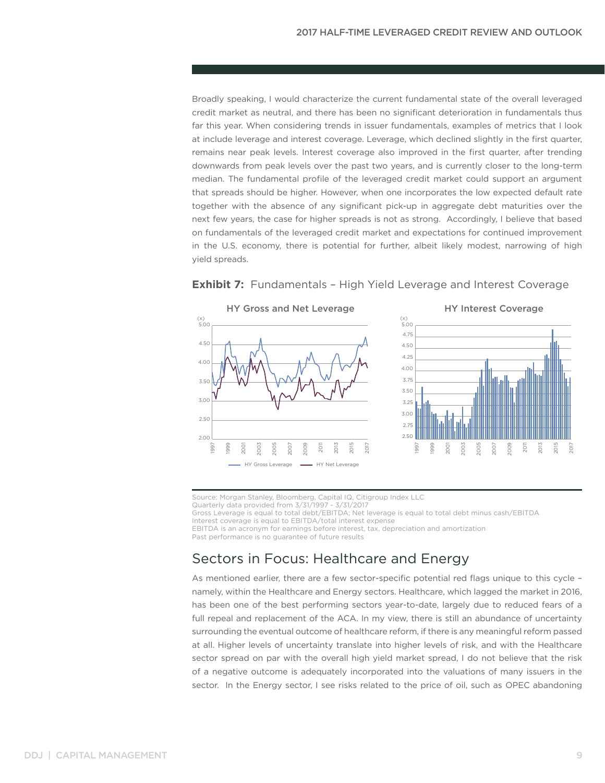Broadly speaking, I would characterize the current fundamental state of the overall leveraged credit market as neutral, and there has been no significant deterioration in fundamentals thus far this year. When considering trends in issuer fundamentals, examples of metrics that I look at include leverage and interest coverage. Leverage, which declined slightly in the first quarter, remains near peak levels. Interest coverage also improved in the first quarter, after trending downwards from peak levels over the past two years, and is currently closer to the long-term median. The fundamental profile of the leveraged credit market could support an argument that spreads should be higher. However, when one incorporates the low expected default rate together with the absence of any significant pick-up in aggregate debt maturities over the next few years, the case for higher spreads is not as strong. Accordingly, I believe that based on fundamentals of the leveraged credit market and expectations for continued improvement in the U.S. economy, there is potential for further, albeit likely modest, narrowing of high yield spreads.



#### **Exhibit 7:** Fundamentals – High Yield Leverage and Interest Coverage

Source: Morgan Stanley, Bloomberg, Capital IQ, Citigroup Index LLC Quarterly data provided from 3/31/1997 - 3/31/2017

Gross Leverage is equal to total debt/EBITDA; Net leverage is equal to total debt minus cash/EBITDA

Interest coverage is equal to EBITDA/total interest expense

EBITDA is an acronym for earnings before interest, tax, depreciation and amortization

Past performance is no guarantee of future results

# Sectors in Focus: Healthcare and Energy

As mentioned earlier, there are a few sector-specific potential red flags unique to this cycle – namely, within the Healthcare and Energy sectors. Healthcare, which lagged the market in 2016, has been one of the best performing sectors year-to-date, largely due to reduced fears of a full repeal and replacement of the ACA. In my view, there is still an abundance of uncertainty surrounding the eventual outcome of healthcare reform, if there is any meaningful reform passed at all. Higher levels of uncertainty translate into higher levels of risk, and with the Healthcare sector spread on par with the overall high yield market spread, I do not believe that the risk of a negative outcome is adequately incorporated into the valuations of many issuers in the sector. In the Energy sector, I see risks related to the price of oil, such as OPEC abandoning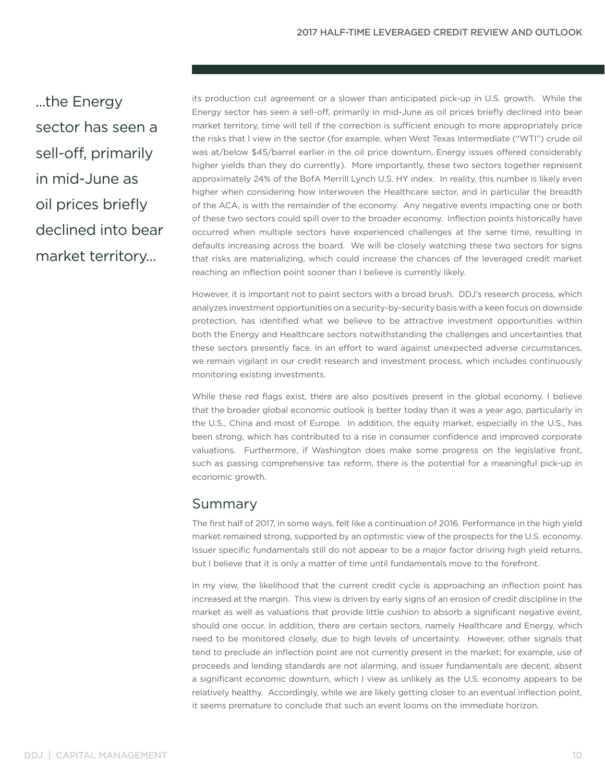...the Energy sector has seen a sell-off, primarily in mid-June as oil prices briefly declined into bear market territory...

its production cut agreement or a slower than anticipated pick-up in U.S. growth. While the Energy sector has seen a sell-off, primarily in mid-June as oil prices briefly declined into bear market territory, time will tell if the correction is sufficient enough to more appropriately price the risks that I view in the sector (for example, when West Texas Intermediate ("WTI") crude oil was at/below \$45/barrel earlier in the oil price downturn, Energy issues offered considerably higher yields than they do currently). More importantly, these two sectors together represent approximately 24% of the BofA Merrill Lynch U.S. HY index. In reality, this number is likely even higher when considering how interwoven the Healthcare sector, and in particular the breadth of the ACA, is with the remainder of the economy. Any negative events impacting one or both of these two sectors could spill over to the broader economy. Inflection points historically have occurred when multiple sectors have experienced challenges at the same time, resulting in defaults increasing across the board. We will be closely watching these two sectors for signs that risks are materializing, which could increase the chances of the leveraged credit market reaching an inflection point sooner than I believe is currently likely.

However, it is important not to paint sectors with a broad brush. DDJ's research process, which analyzes investment opportunities on a security-by-security basis with a keen focus on downside protection, has identified what we believe to be attractive investment opportunities within both the Energy and Healthcare sectors notwithstanding the challenges and uncertainties that these sectors presently face. In an effort to ward against unexpected adverse circumstances, we remain vigilant in our credit research and investment process, which includes continuously monitoring existing investments.

While these red flags exist, there are also positives present in the global economy. I believe that the broader global economic outlook is better today than it was a year ago, particularly in the U.S., China and most of Europe. In addition, the equity market, especially in the U.S., has been strong, which has contributed to a rise in consumer confidence and improved corporate valuations. Furthermore, if Washington does make some progress on the legislative front, such as passing comprehensive tax reform, there is the potential for a meaningful pick-up in economic growth.

## Summary

The first half of 2017, in some ways, felt like a continuation of 2016. Performance in the high yield market remained strong, supported by an optimistic view of the prospects for the U.S. economy. Issuer specific fundamentals still do not appear to be a major factor driving high yield returns, but I believe that it is only a matter of time until fundamentals move to the forefront.

In my view, the likelihood that the current credit cycle is approaching an inflection point has increased at the margin. This view is driven by early signs of an erosion of credit discipline in the market as well as valuations that provide little cushion to absorb a significant negative event, should one occur. In addition, there are certain sectors, namely Healthcare and Energy, which need to be monitored closely, due to high levels of uncertainty. However, other signals that tend to preclude an inflection point are not currently present in the market; for example, use of proceeds and lending standards are not alarming, and issuer fundamentals are decent, absent a significant economic downturn, which I view as unlikely as the U.S. economy appears to be relatively healthy. Accordingly, while we are likely getting closer to an eventual inflection point, it seems premature to conclude that such an event looms on the immediate horizon.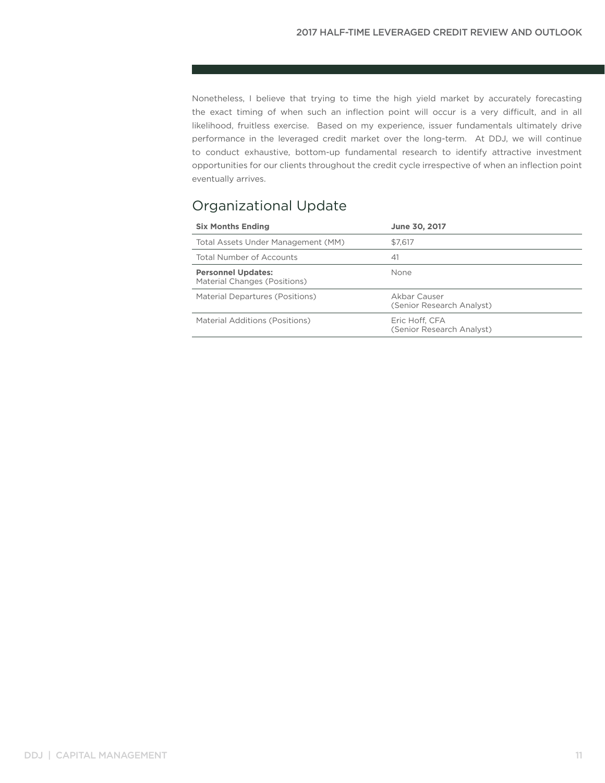Nonetheless, I believe that trying to time the high yield market by accurately forecasting the exact timing of when such an inflection point will occur is a very difficult, and in all likelihood, fruitless exercise. Based on my experience, issuer fundamentals ultimately drive performance in the leveraged credit market over the long-term. At DDJ, we will continue to conduct exhaustive, bottom-up fundamental research to identify attractive investment opportunities for our clients throughout the credit cycle irrespective of when an inflection point eventually arrives.

# Organizational Update

| <b>Six Months Ending</b>                                  | June 30, 2017                               |
|-----------------------------------------------------------|---------------------------------------------|
| Total Assets Under Management (MM)                        | \$7.617                                     |
| Total Number of Accounts                                  | 41                                          |
| <b>Personnel Updates:</b><br>Material Changes (Positions) | None                                        |
| Material Departures (Positions)                           | Akbar Causer<br>(Senior Research Analyst)   |
| Material Additions (Positions)                            | Eric Hoff. CFA<br>(Senior Research Analyst) |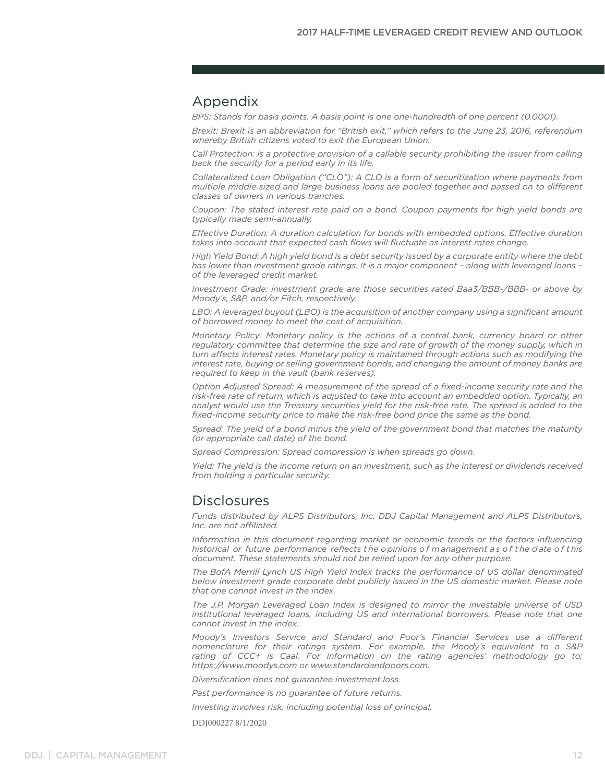## Appendix

*BPS: Stands for basis points. A basis point is one one-hundredth of one percent (0.0001).*

*Brexit: Brexit is an abbreviation for "British exit," which refers to the June 23, 2016, referendum whereby British citizens voted to exit the European Union.*

*Call Protection: is a protective provision of a callable security prohibiting the issuer from calling back the security for a period early in its life.*

*Collateralized Loan Obligation ("CLO"): A CLO is a form of securitization where payments from multiple middle sized and large business loans are pooled together and passed on to different classes of owners in various tranches.* 

*Coupon: The stated interest rate paid on a bond. Coupon payments for high yield bonds are typically made semi-annually.*

*Effective Duration: A duration calculation for bonds with embedded options. Effective duration takes into account that expected cash flows will fluctuate as interest rates change.*

*High Yield Bond: A high yield bond is a debt security issued by a corporate entity where the debt has lower than investment grade ratings. It is a major component – along with leveraged loans – of the leveraged credit market.* 

*Investment Grade: investment grade are those securities rated Baa3/BBB-/BBB- or above by Moody's, S&P, and/or Fitch, respectively.*

*LBO: A leveraged buyout (LBO) is the acquisition of another company using a significant amount of borrowed money to meet the cost of acquisition.*

*Monetary Policy: Monetary policy is the actions of a central bank, currency board or other regulatory committee that determine the size and rate of growth of the money supply, which in turn affects interest rates. Monetary policy is maintained through actions such as modifying the interest rate, buying or selling government bonds, and changing the amount of money banks are required to keep in the vault (bank reserves).* 

*Option Adjusted Spread: A measurement of the spread of a fixed-income security rate and the risk-free rate of return, which is adjusted to take into account an embedded option. Typically, an analyst would use the Treasury securities yield for the risk-free rate. The spread is added to the fixed-income security price to make the risk-free bond price the same as the bond.* 

*Spread: The yield of a bond minus the yield of the government bond that matches the maturity (or appropriate call date) of the bond.*

*Spread Compression: Spread compression is when spreads go down.*

*Yield: The yield is the income return on an investment, such as the interest or dividends received from holding a particular security.*

## **Disclosures**

*Funds distributed by ALPS Distributors, Inc. DDJ Capital Management and ALPS Distributors, Inc. are not affiliated.*

*Information in this document regarding market or economic trends or the factors influencing historical or future performance reflects t he o pinions o f m anagement a s o f t he d ate o f t his document. These statements should not be relied upon for any other purpose.* 

*The BofA Merrill Lynch US High Yield Index tracks the performance of US dollar denominated below investment grade corporate debt publicly issued in the US domestic market. Please note that one cannot invest in the index.* 

*The J.P. Morgan Leveraged Loan Index is designed to mirror the investable universe of USD institutional leveraged loans, including US and international borrowers. Please note that one cannot invest in the index.* 

*Moody's Investors Service and Standard and Poor's Financial Services use a different nomenclature for their ratings system. For example, the Moody's equivalent to a S&P rating of CCC+ is Caal. For information on the rating agencies' methodology go to: https://www.moodys.com or www.standardandpoors.com.* 

*Diversification does not guarantee investment loss.*

*Past performance is no guarantee of future returns.*

*Investing involves risk, including potential loss of principal.*

DDJ000227 8/1/2020